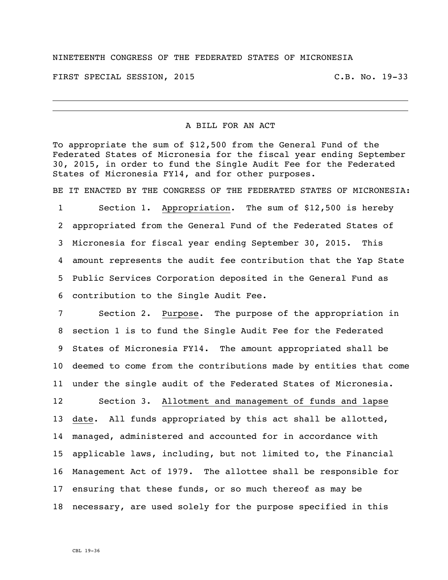## NINETEENTH CONGRESS OF THE FEDERATED STATES OF MICRONESIA

FIRST SPECIAL SESSION, 2015 C.B. No. 19-33

## A BILL FOR AN ACT

To appropriate the sum of \$12,500 from the General Fund of the Federated States of Micronesia for the fiscal year ending September 30, 2015, in order to fund the Single Audit Fee for the Federated States of Micronesia FY14, and for other purposes.

BE IT ENACTED BY THE CONGRESS OF THE FEDERATED STATES OF MICRONESIA:

 Section 1. Appropriation. The sum of \$12,500 is hereby appropriated from the General Fund of the Federated States of Micronesia for fiscal year ending September 30, 2015. This amount represents the audit fee contribution that the Yap State Public Services Corporation deposited in the General Fund as contribution to the Single Audit Fee.

 Section 2. Purpose. The purpose of the appropriation in section 1 is to fund the Single Audit Fee for the Federated States of Micronesia FY14. The amount appropriated shall be deemed to come from the contributions made by entities that come under the single audit of the Federated States of Micronesia.

 Section 3. Allotment and management of funds and lapse date. All funds appropriated by this act shall be allotted, managed, administered and accounted for in accordance with applicable laws, including, but not limited to, the Financial Management Act of 1979. The allottee shall be responsible for ensuring that these funds, or so much thereof as may be necessary, are used solely for the purpose specified in this